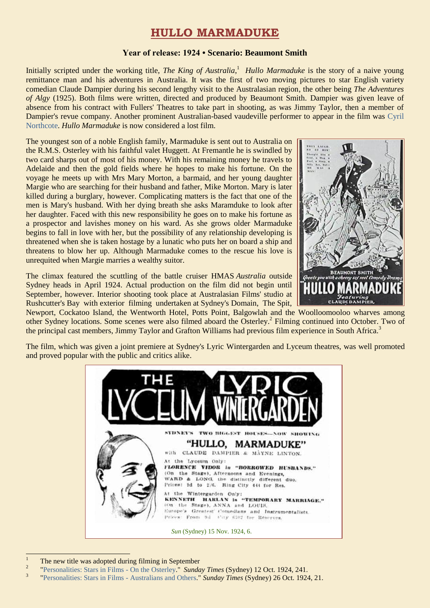# **HULLO MARMADUKE**

### **Year of release: 1924 • Scenario: Beaumont Smith**

Initially scripted under the working title, *The King of Australia*, 1 *Hullo Marmaduke* is the story of a naive young remittance man and his adventures in Australia. It was the first of two moving pictures to star English variety comedian Claude Dampier during his second lengthy visit to the Australasian region, the other being *The Adventures of Algy* (1925). Both films were written, directed and produced by Beaumont Smith. Dampier was given leave of absence from his contract with Fullers' Theatres to take part in shooting, as was Jimmy Taylor, then a member of Dampier's revue company. Another prominent Australian-based vaudeville performer to appear in the film was [Cyril](https://ozvta.com/practitioners-n/)  [Northcote.](https://ozvta.com/practitioners-n/) *Hullo Marmaduke* is now considered a lost film.

The youngest son of a noble English family, Marmaduke is sent out to Australia on the R.M.S. Osterley with his faithful valet Huggett. At Fremantle he is swindled by two card sharps out of most of his money. With his remaining money he travels to Adelaide and then the gold fields where he hopes to make his fortune. On the voyage he meets up with Mrs Mary Morton, a barmaid, and her young daughter Margie who are searching for their husband and father, Mike Morton. Mary is later killed during a burglary, however. Complicating matters is the fact that one of the men is Mary's husband. With her dying breath she asks Maramduke to look after her daughter. Faced with this new responsibility he goes on to make his fortune as a prospector and lavishes money on his ward. As she grows older Marmaduke begins to fall in love with her, but the possibility of any relationship developing is threatened when she is taken hostage by a lunatic who puts her on board a ship and threatens to blow her up. Although Marmaduke comes to the rescue his love is unrequited when Margie marries a wealthy suitor.

The climax featured the scuttling of the battle cruiser HMAS *Australia* outside Sydney heads in April 1924. Actual production on the film did not begin until September, however. Interior shooting took place at Australasian Films' studio at Rushcutter's Bay with exterior filming undertaken at Sydney's Domain, The Spit,



Newport, Cockatoo Island, the Wentworth Hotel, Potts Point, Balgowlah and the Woolloomooloo wharves among other Sydney locations. Some scenes were also filmed aboard the Osterley. 2 Filming continued into October. Two of the principal cast members, Jimmy Taylor and Grafton Williams had previous film experience in South Africa.<sup>3</sup>

The film, which was given a joint premiere at Sydney's Lyric Wintergarden and Lyceum theatres, was well promoted and proved popular with the public and critics alike.



 $\overline{1}$ The new title was adopted during filming in September

 $\overline{2}$ ["Personalities: Stars in Films -](http://nla.gov.au/nla.news-article128151360) On the Osterley." *Sunday Times* (Sydney) 12 Oct. 1924, 241.

<sup>3</sup> ["Personalities: Stars in Films -](http://nla.gov.au/nla.news-article128146444) Australians and Others." *Sunday Times* (Sydney) 26 Oct. 1924, 21.